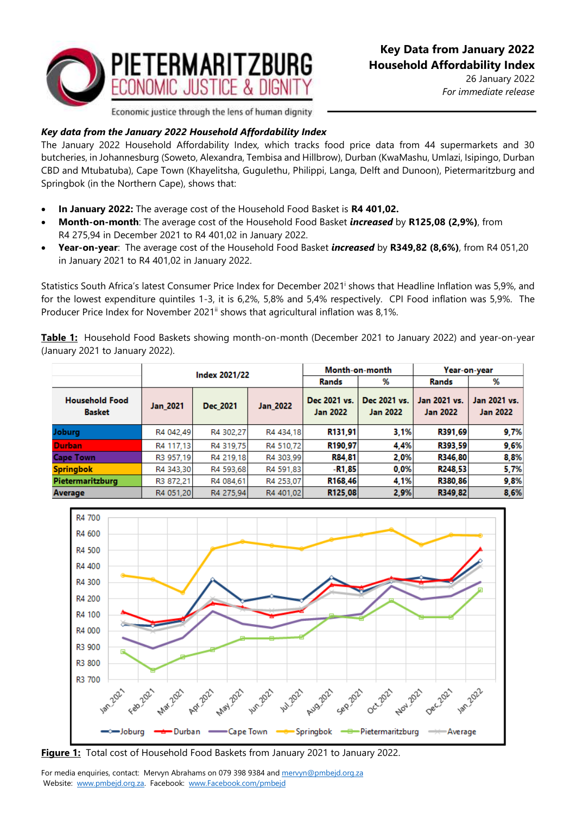

26 January 2022 *For immediate release*

Economic justice through the lens of human dignity

## *Key data from the January 2022 Household Affordability Index*

The January 2022 Household Affordability Index*,* which tracks food price data from 44 supermarkets and 30 butcheries, in Johannesburg (Soweto, Alexandra, Tembisa and Hillbrow), Durban (KwaMashu, Umlazi, Isipingo, Durban CBD and Mtubatuba), Cape Town (Khayelitsha, Gugulethu, Philippi, Langa, Delft and Dunoon), Pietermaritzburg and Springbok (in the Northern Cape), shows that:

- **In January 2022:** The average cost of the Household Food Basket is **R4 401,02.**
- **Month-on-month**: The average cost of the Household Food Basket *increased* by **R125,08 (2,9%)**, from R4 275,94 in December 2021 to R4 401,02 in January 2022.
- **Year-on-year**: The average cost of the Household Food Basket *increased* by **R349,82 (8,6%)**, from R4 051,20 in January 2021 to R4 401,02 in January 2022.

Statistics South Africa's latest Consumer Price Index for December 2021<sup>i</sup> shows that Headline Inflation was 5,9%, and for the lowest expenditure quintiles 1-3, it is 6,2%, 5,8% and 5,4% respectively. CPI Food inflation was 5,9%. The Producer Price Index for November 2021<sup>ii</sup> shows that agricultural inflation was 8,1%.

**Table 1:** Household Food Baskets showing month-on-month (December 2021 to January 2022) and year-on-year (January 2021 to January 2022).

|                                        | Index 2021/22   |           |                 | Month-on-month                  |                                 | Year-on-year                    |                                 |
|----------------------------------------|-----------------|-----------|-----------------|---------------------------------|---------------------------------|---------------------------------|---------------------------------|
|                                        |                 |           |                 | Rands                           | %                               | Rands                           | %                               |
| <b>Household Food</b><br><b>Basket</b> | <b>Jan 2021</b> | Dec 2021  | <b>Jan 2022</b> | Dec 2021 vs.<br><b>Jan 2022</b> | Dec 2021 vs.<br><b>Jan 2022</b> | Jan 2021 vs.<br><b>Jan 2022</b> | Jan 2021 vs.<br><b>Jan 2022</b> |
| <b>Joburg</b>                          | R4 042,49       | R4 302,27 | R4 434,18       | R131,91                         | 3.1%                            | R391.69                         | 9,7%                            |
| <b>Durban</b>                          | R4 117,13       | R4 319.75 | R4 510.72       | R <sub>190.97</sub>             | 4.4%                            | R393.59                         | 9,6%                            |
| <b>Cape Town</b>                       | R3 957,19       | R4 219,18 | R4 303,99       | R84,81                          | 2.0%                            | R346,80                         | 8,8%                            |
| <b>Springbok</b>                       | R4 343.30       | R4 593.68 | R4 591.83       | -R1,85                          | 0.0%                            | R <sub>248</sub> .53            | 5,7%                            |
| Pietermaritzburg                       | R3 872,21       | R4 084.61 | R4 253,07       | R168,46                         | 4,1%                            | R380,86                         | 9,8%                            |
| Average                                | R4 051,20       | R4 275.94 | R4 401.02       | R125,08                         | 2,9%                            | R349,82                         | 8,6%                            |



**Figure 1:** Total cost of Household Food Baskets from January 2021 to January 2022.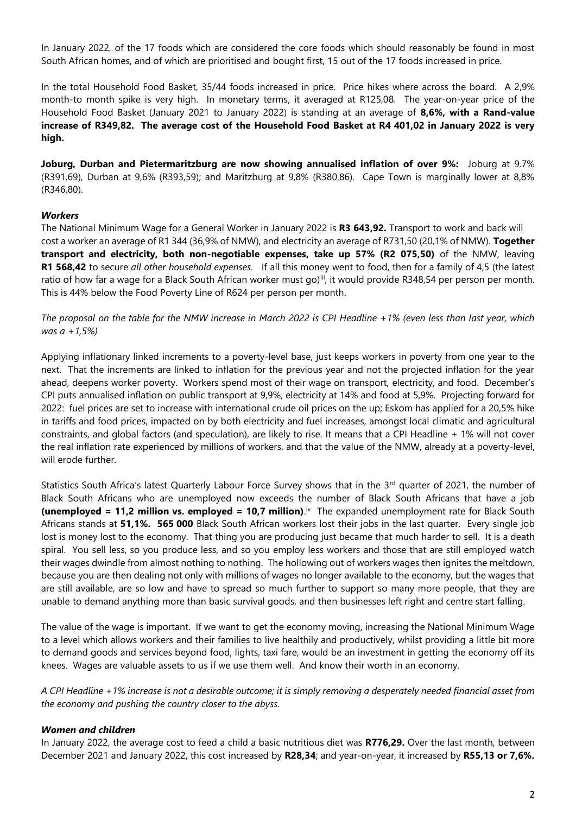In January 2022, of the 17 foods which are considered the core foods which should reasonably be found in most South African homes, and of which are prioritised and bought first, 15 out of the 17 foods increased in price.

In the total Household Food Basket, 35/44 foods increased in price. Price hikes where across the board. A 2,9% month-to month spike is very high. In monetary terms, it averaged at R125,08. The year-on-year price of the Household Food Basket (January 2021 to January 2022) is standing at an average of **8,6%, with a Rand-value increase of R349,82. The average cost of the Household Food Basket at R4 401,02 in January 2022 is very high.**

**Joburg, Durban and Pietermaritzburg are now showing annualised inflation of over 9%:** Joburg at 9.7% (R391,69), Durban at 9,6% (R393,59); and Maritzburg at 9,8% (R380,86). Cape Town is marginally lower at 8,8% (R346,80).

## *Workers*

The National Minimum Wage for a General Worker in January 2022 is **R3 643,92.** Transport to work and back will cost a worker an average of R1 344 (36,9% of NMW), and electricity an average of R731,50 (20,1% of NMW). **Together transport and electricity, both non-negotiable expenses, take up 57% (R2 075,50)** of the NMW, leaving **R1 568,42** to secure *all other household expenses.* If all this money went to food, then for a family of 4,5 (the latest ratio of how far a wage for a Black South African worker must go)<sup>iii</sup>, it would provide R348,54 per person per month. This is 44% below the Food Poverty Line of R624 per person per month.

*The proposal on the table for the NMW increase in March 2022 is CPI Headline +1% (even less than last year, which was a +1,5%)*

Applying inflationary linked increments to a poverty-level base, just keeps workers in poverty from one year to the next. That the increments are linked to inflation for the previous year and not the projected inflation for the year ahead, deepens worker poverty. Workers spend most of their wage on transport, electricity, and food. December's CPI puts annualised inflation on public transport at 9,9%, electricity at 14% and food at 5,9%. Projecting forward for 2022: fuel prices are set to increase with international crude oil prices on the up; Eskom has applied for a 20,5% hike in tariffs and food prices, impacted on by both electricity and fuel increases, amongst local climatic and agricultural constraints, and global factors (and speculation), are likely to rise. It means that a CPI Headline + 1% will not cover the real inflation rate experienced by millions of workers, and that the value of the NMW, already at a poverty-level, will erode further.

Statistics South Africa's latest Quarterly Labour Force Survey shows that in the 3rd quarter of 2021, the number of Black South Africans who are unemployed now exceeds the number of Black South Africans that have a job **(unemployed = 11,2 million vs. employed = 10,7 million)**.<sup>iv</sup> The expanded unemployment rate for Black South Africans stands at **51,1%. 565 000** Black South African workers lost their jobs in the last quarter. Every single job lost is money lost to the economy. That thing you are producing just became that much harder to sell. It is a death spiral. You sell less, so you produce less, and so you employ less workers and those that are still employed watch their wages dwindle from almost nothing to nothing. The hollowing out of workers wages then ignites the meltdown, because you are then dealing not only with millions of wages no longer available to the economy, but the wages that are still available, are so low and have to spread so much further to support so many more people, that they are unable to demand anything more than basic survival goods, and then businesses left right and centre start falling.

The value of the wage is important. If we want to get the economy moving, increasing the National Minimum Wage to a level which allows workers and their families to live healthily and productively, whilst providing a little bit more to demand goods and services beyond food, lights, taxi fare, would be an investment in getting the economy off its knees. Wages are valuable assets to us if we use them well. And know their worth in an economy.

*A CPI Headline +1% increase is not a desirable outcome; it is simply removing a desperately needed financial asset from the economy and pushing the country closer to the abyss.*

## *Women and children*

In January 2022, the average cost to feed a child a basic nutritious diet was **R776,29.** Over the last month, between December 2021 and January 2022, this cost increased by **R28,34**; and year-on-year, it increased by **R55,13 or 7,6%.**